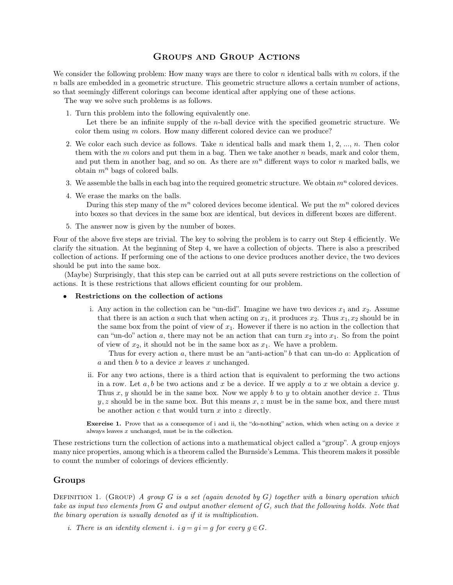$\begin{minipage}{0.9\linewidth} \textbf{GROUP} & \textbf{ACTIONS} \end{minipage}$  <br> Row many ways are there to color  $n$  identical balls **GROUPS AND GROUP ACTIONS**<br>We consider the following problem: How many ways are there to color *n* identical balls with *m* colors, if the<br>*n* balls are embedded in a geometric structure. This geometric structure allows a **are embedded** in a geometric structure. This geometric structure allows a certain number of actions, so that seemingly different colorings can become identical after applying one of these actions. **SOCUPS AND GROUP ACTIONS**<br>We consider the following problem: How many ways are there to color *n* identical balls with *m* color *n* balls are embedded in a geometric structure. This geometric structure allows a certain GROUPS AND G<br>
consider the following problem: How many ways a<br>
alls are embedded in a geometric structure. This g<br>
that seemingly different colorings can become ident<br>
The way we solve such problems is as follows.<br>
1. Turn 1. Turn this problem is the following problem: How many ways are there to coalls are embedded in a geometric structure. This geometric structure at that seemingly different colorings can become identical after ap The way It is are embedded in a geometric structure. This geometric structure allows a certain number of actions,<br>so that seemingly different colorings can become identical after applying one of these actions.<br>The way we solve suc

Examply different colorings can become identical after applying one of these actions.<br>
Furn this problem into the following equivalently one.<br>
Let there be an infinite supply of the *n*-ball device with the specified geom

- 2. We color each such device as follows.<br>
2. We color them using *m* colors. How many different colored device can we produce?<br>
2. We color each such device as follows. Take *n* identical balls and mark them 1, 2, ..., *n* Turn this problem into the following equivalently one.<br>Let there be an infinite supply of the *n*-ball device with the specified geometric structure. We color them using *m* colors. How many different colored device can w Let there be an infinite supply of the *n*-ball device with the specified geometric structure. We color them using *m* colors. How many different colored device can we produce?<br>We color each such device as follows. Take color them using *m* colors. How many different colored device can we produce?<br>We color each such device as follows. Take *n* identical balls and mark them 1, 2, ..., *n*. Then color<br>them with the *m* colors and put them 3. We color each such device as follows. Take *n* identical balls and mark them 1, 2, ..., *n*. Then color them with the *m* colors and put them in a bag. Then we take another *n* beads, mark and color them, and put them them with the *m* colors and put them<br>and put them in another bag, and so<br>obtain  $m^n$  bags of colored balls.<br>3. We assemble the balls in each bag into<br>4. We erase the marks on the balls.<br>During this step many of the  $m^n$
- 
- I put them in another bag, and so on. As there are  $m^n$  different ways to color *n* marked balls, we ain  $m^n$  bags of colored balls.<br>assemble the balls in each bag into the required geometric structure. We obtain  $m^n$  col obtain  $m^n$  bags of colored balls.<br>We assemble the balls in each bag into the required geometric structure. We obtain  $m^n$  colored devices.<br>We erase the marks on the balls.<br>During this step many of the  $m^n$  colored device 3. We assemble the balls in each bag into the required geon<br>4. We erase the marks on the balls.<br>During this step many of the  $m^n$  colored devices be<br>into boxes so that devices in the same box are identica<br>5. The answer no Four of the matrix on the balls.<br>
During this step many of the  $m^n$  colored devices become identical. We put the  $m^n$  colored devices<br>
into boxes so that devices in the same box are identical, but devices in different box
	-

During this step many of the  $m^n$  colored devices become identical. We put the  $m^n$  colored devices into boxes so that devices in the same box are identical, but devices in different boxes are different.<br>5. The answer now into boxes so that devices in the same box are identical, but devices in different boxes are different.<br>5. The answer now is given by the number of boxes.<br>Four of the above five steps are trivial. The key to solving the pr 5. The answer now is given by the<br>Four of the above five steps are trivial.<br>clarify the situation. At the beginning<br>collection of actions. If performing one<br>should be put into the same box.<br>(Maybe) Surprisingly, that this (Maybe) Surprisingly, that this step can be carried out at all puts severe restrictions on the collection of actions. If performing one of the actions to one device produces another device, the two devices uld be put into Four of the above five steps are trivial. The key to solving the problem is to carry clarify the situation. At the beginning of Step 4, we have a collection of objects. collection of actions. If performing one of the actio

- 
- i. Surprisingly, that this step can be carried out at all puts severe restrictions on the collection of<br>is these restrictions that allows efficient counting for our problem.<br>**trictions on the collection of actions**<br>i. Any there is an action of these restrictions that allows efficient counting for our problem.<br> **Any action on the collection of actions**<br> **Any action in the collection can be "un-did"**. Imagine we have two devices  $x_1$  and  $x$ these restrictions that allows efficient counting for our problem.<br>
ictions on the collection of actions<br>
Any action in the collection can be "un-did". Imagine we have two devices  $x_1$  and  $x_2$ . Assume<br>
that there is an cations on the collection of actions<br>Any action in the collection can be "un-did". Imagine we have two devices  $x_1$  and  $x_2$ . Assume<br>that there is an action *a* such that when acting on  $x_1$ , it produces  $x_2$ . Thus  $x$ Any action in the collection can be "un-did". Imagine we have two devices  $x_1$  at that there is an action *a* such that when acting on  $x_1$ , it produces  $x_2$ . Thus  $x_1$ , the same box from the point of view of  $x_1$ . H y action in the collection can be "un-did". Imagine we have two devices  $x_1$  and  $x_2$ . Assume<br>t there is an action *a* such that when acting on  $x_1$ , it produces  $x_2$ . Thus  $x_1, x_2$  should be in<br>same box from the poi the same box from the point of view of  $x_1$ . However if there is no action in the collection that can "un-do" action *a*, there may not be an action that can turn  $x_2$  into  $x_1$ . So from the point of view of  $x_2$ , it

can "un-do" action a, there may not be an action that can turn  $x_2$  into  $x_1$ . So from the point<br>of view of  $x_2$ , it should not be in the same box as  $x_1$ . We have a problem.<br>Thus for every action a, there must be an of view of  $x_2$ , it should not be in the same box as  $x_1$ . We have a problem.<br>Thus for every action a, there must be an "anti-action" b that can un-do a: Application of a and then b to a device x leaves x unchanged.<br>For *a* and then *b* to a device *x* leaves *x* unchanged.<br>For any two actions, there is a third action that is equivalent to performing the two actions in a row. Let *a*, *b* be two actions and *x* be a device. If we apply For any two actions, there is a third action that is equive<br>in a row. Let  $a, b$  be two actions and  $x$  be a device. If we<br>Thus  $x, y$  should be in the same box. Now we apply  $b$  to<br> $y, z$  should be in the same box. But this **Exercise 1.** Prove that as a consequence of i and ii, the "do-nothing" action, which when acting on a device *x* always leaves *x* unchanged, must be in the collection.  $y, z$  should be in the same box. But this means  $x, z$  must be in the same box, and there must

 $y, z$  should be in the same box. But this means  $x, z$  must be in the same box, and there must<br>be another action  $c$  that would turn  $x$  into  $z$  directly.<br>**Exercise 1.** Prove that as a consequence of i and ii, the "do-not be another action c that would turn x into z directly.<br> **Exercise 1.** Prove that as a consequence of i and ii, the "do-nothing" action, which when acting on a device x always leaves x unchanged, must be in the collection. **Exercise 1.** Prove that as a consequence of i and ii, the always leaves  $x$  unchanged, must be in the collection.<br>These restrictions turn the collection of actions into a math many nice properties, among which is a theor

## **Groups**

many nice properties, among which is a theorem called the Burnside's Lemma. This theorem makes it possible to count the number of colorings of devices efficiently.<br> **Groups**<br>
DEFINITION 1. (GROUP) *A group G* is a set ( *take as input two elements from G and output another element of G, such that the following holds. Note that the binary operation is usually denoted as if it is multiplication. Groups<br> DEFINITION 1. (GROUP) A group G is a set (again denoted by G) take as input two elements from G and output another element of G, it is multiplication.<br>
<i>i.* There is an identity element i.  $i a = a i = a$  for every *inity 1.* (GROUP) A group G is a set (again denoted by G) togeth as input two elements from G and output another element of G, such thinary operation is usually denoted as if it is multiplication.<br>i. There is an identi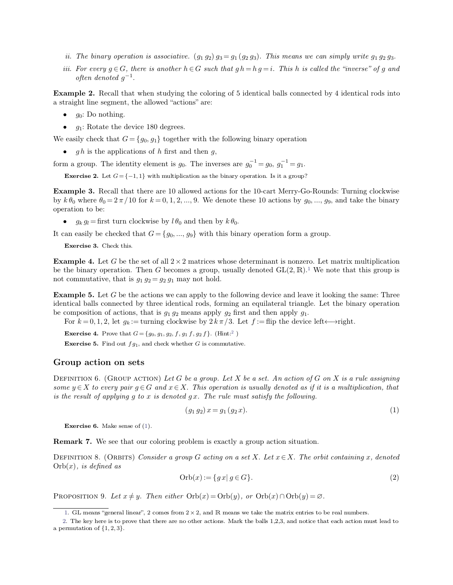- 
- *ii.* The binary operation is associative.  $(g_1\ g_2)g_3 = g_1(g_2\ g_3)$ . This means we can simply write  $g_1\ g_2\ g_3$ .<br>*iii.* For every  $g \in G$ , there is another  $h \in G$  such that  $g h = h g = i$ . This *h* is called the "inverse" of ii. The binary operation is associative.  $(g_1 g_2) g_3 = g_1 (g_2 g_3)$ . This means we can simply write  $g_1 g_2 g_3$ .<br>iii. For every  $g \in G$ , there is another  $h \in G$  such that  $g h = h g = i$ . This h is called the "inverse" of g and of *The binary operation is*<br>*For every*  $g \in G$ , there is<br>*often denoted*  $g^{-1}$ . *often denoted*  $q^{-1}$ .

*ii. The binary operation is associative.*  $(g_1 g_2) g_3 = g_1 (g_2 g_3)$ . This means we can simply write  $g_1 g_2 g_3$ .<br>*iii. For every*  $g \in G$ , there is another  $h \in G$  such that  $g h = h g = i$ . This h is called the "inverse" of g an a. The other g operation is associative. (g1 g2) g3 –<br>iii. For every  $g \in G$ , there is another  $h \in G$  such that<br>often denoted  $g^{-1}$ .<br>**Example 2.** Recall that when studying the coloring of<br>a straight line segment, the allo **Example 2.** Recall that when studying the coloring of 5 identical balls connected by 4 identical rods into a straight line segment, the allowed "actions" are:<br>
• *g*<sub>0</sub>: Do nothing.<br>
• *g*<sub>1</sub>: Rotate the device 180 degre

- 
- 

•  $g_0$ : Do nothing.<br>
•  $g_1$ : Rotate the device 180 degrees.<br>
We easily check that  $G = \{g_0, g_1\}$  together with the following binary operation<br>
•  $gh$  is the applications of h first and then g,<br>
form a group. The identit

**•** *gh* is the applications of *h* first and then *g*,<br>form a group. The identity element is *g*<sub>0</sub>. The inverses are  $g_0^{-1} = g_0$ ,  $g_1^{-1} = g_1$ .<br>**Example 2.** Let  $G = \{-1, 1\}$  with multiplication as the binary operation. form a group. The identity element is  $g_0$ . The inverses are  $g_0^{-1} = g_0$ ,  $g_1^{-1} = g_1$ .<br> **Exercise 2.** Let  $G = \{-1, 1\}$  with multiplication as the binary operation. Is it a group?<br> **Example 3.** Recall that there are 10 Exercise 2. Let  $G = \{-1, 1\}$  with multiplication as the binary operation. Is it a group?<br> **Exercise 2.** Let  $G = \{-1, 1\}$  with multiplication as the binary operation. Is it a group?<br> **Example 3.** Recall that there are 10 a **Example 4.** Let G be the set of all  $2 \times 2$  matrices whose determinant is nonzero. Let matrix multiplication **Example 4.** Let G be the set of all  $2 \times 2$  matrices whose determinant is nonzero. Let matrix multiplication

It can easily be checked that  $G = \{g_0, ..., g_9\}$  with this binary operation form a group.<br> **Exercise 3.** Check this.<br> **Example 4.** Let *G* be the set of all  $2 \times 2$  matrices whose determinant is nonzero. Let be the binary o 32 matrices whose determinant is nonzero. Let matrix multiplication<br>22 matrices whose determinant is nonzero. Let matrix multiplication<br>nes a group, usually denoted  $GL(2, \mathbb{R})$ .<sup>1</sup> We note that this group is It can easily be checked that  $G = \{g_0, ..., g_9\}$  with this binary operation form a group.<br> **Exercise 3.** Check this.<br> **Example 4.** Let *G* be the set of all  $2 \times 2$  matrices whose determinant is nonzero. Let matrix multipli It can easily be checked that  $G = \{g_0, ..., g_9\}$  with this be<br> **Exercise 3.** Check this.<br> **Example 4.** Let G be the set of all  $2 \times 2$  matrices whose<br>
be the binary operation. Then G becomes a group, usua<br>
not commutative, **Example 4.** Let *G* be the set of all  $2 \times 2$  matrices whose determinant is nonzero. Let matrix multiplication<br>be the binary operation. Then *G* becomes a group, usually denoted  $GL(2, \mathbb{R})$ .<sup>1</sup> We note that this group i

**Example 4.** Let G be the set of all  $2 \times 2$  matrices whose determinant is nonzero. Let matrix multiplication<br>be the binary operation. Then G becomes a group, usually denoted GL(2, R).<sup>1</sup> We note that this group is<br>not co be the binary operation. Then *G* becomes a group, usually denoted  $GL(2, \mathbb{R})$ .<sup>1</sup> We note that this<br>not commutative, that is  $g_1 g_2 = g_2 g_1$  may not hold.<br>**Example 5.** Let *G* be the actions we can apply to the followin for actions, that is  $g_1 g_2$  means apply  $g_2$  first and **For**  $k = 0, 1, 2$ , let  $g_k := \text{turning clockwise by } 2 k \pi / 3$ . Let  $f$ **Exercise 4.** Prove that  $G = \{g_0, g_1, g_2, f, g_1 f, g_2 f\}$ . (Hint:<sup>2</sup>)<br>**Exercise 5.** Find out  $fg_1$ , and check **EXECUTE:** COMPOSITION: FOR  $k = 0, 1, 2$ , let  $g_k := \text{turning clockwise by } 2 \, k \, \pi / 3$ . Let  $f$ :<br>**Exercise 4.** Prove that  $G = \{g_0, g_1, g_2, f, g_1 f, g_2 f\}$ . (Hint:<sup>2</sup>)<br>**Exercise 5.** Find out  $f g_1$ , and check whether *G* is commutative.

be composition of actions, that is  $g_1$ .<br>For  $k = 0, 1, 2$ , let  $g_k :=$  turning class Exercise 4. Prove that  $G = \{g_0, g_1, g_2,$ <br>Exercise 5. Find out  $fg_1$ , and check v<br>**Group action on sets**<br>DEFINITION 6. (GROUP ACTION) Let Exercise 4. Prove that  $G = \{g_0, g_1, g_2, f, g_1, f, g_2, f\}$ . (Hint:<sup>2</sup>)<br> **Croup action on sets**<br> **Croup action on sets**<br>
DEFINITION 6. (GROUP ACTION) Let *G* be a group. Let *X* be a set. An action of *G* on *X* is a rule as **Exercise 5.** Find out  $fg_1$ , and check whether G is commutative.<br> **Group action on sets**<br> **DEFINITION 6.** (GROUP ACTION) Let G be a group. Let X be a set. An action of G on X is a rule assigning<br> *some*  $y \in X$  to every p *is the result of applying g* to *x is denoted gx*. This operation is usually denoted as if it is different is the result of applying *g* to *x* is denoted *gx*. The rule must satisfy the following.<br>(*g<sub>1</sub> g<sub>2</sub>*) isthe result of applying g to x is denoted gx. The rule must satisfy the following.<br>  $(g_1 g_2) x = g_1 (g_2 x)$ .<br> **Exercise 6.** Make sense of [\(1\)](#page-1-0).

<span id="page-1-2"></span><span id="page-1-1"></span><span id="page-1-0"></span>
$$
(g_1 g_2) x = g_1 (g_2 x). \tag{1}
$$

**Remark 7.** We see that our coloring problem is exactly a group action situation.<br> **Remark 7.** We see that our coloring problem is exactly a group action situation.<br> **REMARK 7.** We see that our coloring problem is exactly

**Exercise 6.** Make sense of (1).<br> **Remark 7.** We see that our coloring problem is exactly a group action situation.<br>
DEFINITION 8. (ORBITS) *Consider a group G* acting on a set *X. Let*  $x \in X$ *. The orbit containing* **Exercise 6.** Make sense of (<br>**Remark 7.** We see that our<br>DEFINITION 8. (ORBITS) Co<br>Orb(x), is defined as From  $G$  *acting on a set X.* Let  $x \in X$ . The orbit containing  $x$ , denoted Orb( $x$ ) := { $gx | g ∈ G$ }. (2) DEFINITION 8. (ORBITS) Consider a group G acting on a set X. Let  $x \in X$ . The orbit containing<br>Orb(*x*), is defined as<br> $Orb(x) := \{ g \, x | \, g \in G \}.$ <br>PROPOSITION 9. Let  $x \neq y$ . Then either  $Orb(x) = Orb(y)$ , or  $Orb(x) \cap Orb(y) = \emptyset$ .<br>1. GL

$$
\text{Orb}(x) := \{ g \, x \mid g \in G \}. \tag{2}
$$

<span id="page-1-3"></span>

 $2x := \{gx | g \in G\}.$ <br>  $b(x) = Orb(y), \text{ or } Orb(x) \cap Orb(y) = \varnothing.$ <br>
2, and R means we take the matrix entries to be real numbers.<br>
Ler actions. Mark the balls 1,2,3, and notice that each action must let 2. OPOSITION 9. Let  $x \neq y$ . Then either  $Orb(x) = Orb(y)$ , or  $Orb(x) \cap Orb(y) = \emptyset$ .<br>
1. GL means "general linear", 2 comes from 2 × 2, and R means we take the matrix entries to be real numbers.<br>
2. The key here is to prove that th PROPOSITION9. Let  $x \neq y$ . Then either  $Orb(x) = Orb(y)$ , or  $Orb(x) \cap Orb(y) = \emptyset$ .<br>
1. GL means "general linear", 2 comes from 2 × 2, and R means we take the matrix entries to be real numbers.<br>
2. The key here is to prove that the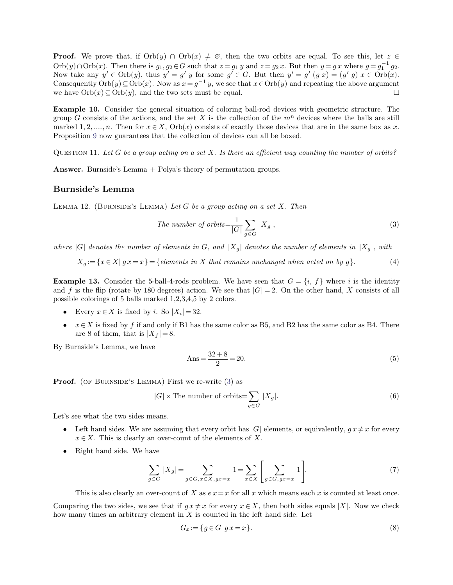**Proof.** We prove that, if  $Orb(y) \cap Orb(x) \neq \emptyset$ , then the two orbits are equal. To see this, let  $z \in Orb(y) \cap Orb(x)$ . Then there is  $g_1, g_2 \in G$  such that  $z = g_1 y$  and  $z = g_2 x$ . But then  $y = gx$  where  $g = g_1^{-1} g_2$ . **Proof.** We prove that, if  $Orb(y) \cap Orb(x) \neq \emptyset$ , then the two orbits are equal. To see this, let  $z \in$ <br> $Orb(y) \cap Orb(x)$ . Then there is  $g_1, g_2 \in G$  such that  $z = g_1 y$  and  $z = g_2 x$ . But then  $y = gx$  where  $g = g_1^{-1} g_2$ .<br>Now take a  $y' = g'$  *y* for some  $g' \in G$ . But then  $y' = g'(g x) = 0$ . **Proof.** We prove that, if  $Orb(y) \cap Orb(x) \neq \emptyset$ , then the two orbits are equal. To see this, let  $z \in$ <br> $Orb(y) \cap Orb(x)$ . Then there is  $g_1, g_2 \in G$  such that  $z = g_1 y$  and  $z = g_2 x$ . But then  $y = g x$  where  $g = g_1^{-1} g_2$ .<br>Now take **Proof.** We prove that, if  $Orb(y) \cap Orb(x) \neq \emptyset$ , then the two orbits are equal. To see this, let  $z \in Orb(y) \cap Orb(x)$ . Then there is  $g_1, g_2 \in G$  such that  $z = g_1 y$  and  $z = g_2 x$ . But then  $y = g x$  where  $g = g_1^{-1} g_2$ .<br>Now take any Orb(y)  $\cap$  Orb(x). Then there is  $g_1, g_2 \in G$  such that  $z = g_1 y$  and  $z = g_2 x$ . But then  $y = g x$  where  $g = g_1^{-1} g_2$ .<br>Now take any  $y' \in \text{Orb}(y)$ , thus  $y' = g' y$  for some  $g' \in G$ . But then  $y' = g' (g x) = (g' g) x \in \text{Orb}(x)$ .<br>Cons

Now take any  $y' \in \text{Orb}(y)$ , thus  $y' = g' y$  for some  $g' \in G$ . But then  $y' = g' (g x) = (g' g) x \in \text{Orb}(x)$ .<br>Consequently  $\text{Orb}(y) \subseteq \text{Orb}(x)$ . Now as  $x = g^{-1} y$ , we see that  $x \in \text{Orb}(y)$  and repeating the above argument<br>we have Consequently $Orb(y) \subseteq Orb(x)$ . Now as  $x = g^{-1}y$ , we see that  $x \in Orb(y)$  and repeating the above argument<br>we have  $Orb(x) \subseteq Orb(y)$ , and the two sets must be equal.  $\square$ <br>**Example 10.** Consider the general situation of coloring ballgroup *G* consists of the actions, and the set *X* is the collection of the  $m^n$  devices where the balls are still marked 1, 2, ..., *n*. Then for  $x \in X$ ,  $Orb(x)$  consists of exactly those devices that are in the same box

QUESTION 11. Let  $G$  be a group acting on a set  $X$ . Is there an efficient way counting the number of orbits? QUESTION 11. Let G be a group acts<br>**Answer.** Burnside's Lemma + Poly<br>**Burnside's Lemma**<br>LEMMA 12. (BURNSIDE's LEMMA)

Answer. Burnside's Lemma + Polya's theory of permutation groups.<br> **Burnside's Lemma**<br> *LEMMA* 12. (BURNSIDE's LEMMA) *Let G be a group acting on a set X. Then* LEMMA 12. (BURNSIDE'S LEMMA) Let G be a group acting on a set X. Then

LEMMA 12. (BURNSIDE'S LEMMA) Let G be a group acting on a set X. Then  
\n
$$
The number of orbits = \frac{1}{|G|} \sum_{g \in G} |X_g|,
$$
\n(3)  
\nwhere |G| denotes the number of elements in G, and |X\_g| denotes the number of elements in |X\_g|, with  
\n
$$
X_g := \{x \in X | g x = x\} = \{elements in X that remains unchanged when acted on by g\}.
$$
\n(4)

$$
X_g := \{x \in X | g x = x\} = \{elements \ in \ X \ that \ remains \ unchanged \ when \ acted \ on \ by \ g\}.
$$
 (4)

where  $|G|$  denotes the number of elements in *G*, and  $|X_g|$  denotes the number of elements in  $|X_g|$ , with  $X_g := \{x \in X | g x = x\} = \{elements in X that remains unchanged when acted on by g\}.$  (4)<br>**Example 13.** Consider the 5-ball-4-rods problem. We have seen that  $G = \{$ where  $|G|$  denotes the number of elements in *G*, and  $|X_g|$  denotes the number of elements in  $|X_g|$ , with  $X_g := \{x \in X | g x = x\} = \{$  elements in *X* that remains unchanged when acted on by *g* $\}$ . (4)<br>**Example 13.** Conside **Example 13.** Consider the 5-ball-4-rods problem. We have and *f* is the flip (rotate by 180 degrees) action. We see that possible colorings of 5 balls marked 1,2,3,4,5 by 2 colors.<br>• Every  $x \in X$  is fixed by *i*. So  $|X_i$ **and** *f* is the flip (rotate by 180 degrees) action. We see that  $|G| = 2$ . On the other hand, *X* consists of all possible colorings of 5 balls marked 1,2,3,4,5 by 2 colors.<br>
■ Every  $x \in X$  is fixed by *i*. So  $|X_i| = 32$ and *f* is the flip (rotate by 180 degrees) action.<br>possible colorings of 5 balls marked 1,2,3,4,5 by<br>
• Every  $x \in X$  is fixed by *i*. So  $|X_i| = 32$ .<br>
•  $x \in X$  is fixed by *f* if and only if B1 has th<br>
are 8 of them, that

- Every  $x \in X$  is fixed by *i*. So  $|X_i| = 32$ .
- $x \in X$  is fixed by f if and only if B1 has the same color as B5, and B2 has the same color as B4. There

By Burnside's Lemma, we have  
\n
$$
Ans = \frac{32 + 8}{2} = 20.
$$
\n(5)  
\n**Proof.** (of BURNSIDE'S LEMMA) First we re-write (3) as

<span id="page-2-0"></span>
$$
Ans = \frac{32 + 8}{2} = 20.
$$
 (5)  
(5)  
(6)  
(7) First we re-write (3) as  
(8) × The number of orbits=
$$
\sum_{g \in G} |X_g|.
$$
 (6)

- **Proof.** (or BURNSIDE's LEMMA) First we re-write (3) as<br>  $|G| \times$  The number of orbits= $\sum_{g \in G} |X_g|$ . (6)<br>
Let's see what the two sides means.<br>
 Left hand sides. We are assuming that every orbit has  $|G|$  elements, or eq *x*  $|G| \times$  The number of orbits= $\sum_{g \in G} |X_g|$ .<br> **a** *x* is clearly an over-count of the elements of *X*.<br> **a** Right hand side. We have
	-

Left hand sides. We are assuming that every orbit has 
$$
|G|
$$
 elements, or equivalently,  $gx \neq x$  for every  $x \in X$ . This is clearly an over-count of the elements of  $X$ .  
Right hand side. We have\n
$$
\sum_{g \in G} |X_g| = \sum_{g \in G, x \in X, gx = x} 1 = \sum_{x \in X} \left[ \sum_{g \in G, gx = x} 1 \right].
$$
\n(7)  
This is also clearly an over-count of  $X$  as  $e x = x$  for all  $x$  which means each  $x$  is counted at least once.  
string the two sides, we see that if  $gx \neq x$  for every  $x \in X$ , then both sides equals  $|X|$ . Now we check

Comparing the two sides, we see that if  $gx \neq x$  for every  $x \in X$ , then both sides equals  $|X|$ . Now we check how many times an arbitrary element in *X* is counted in the left hand side. Let  $\sum_{g \in G} |X_g| = \sum_{g \in G, x \in X, gx = x} 1 = \sum_{x \in X} \left[ \sum_{g \in G, gx = x} 1 \right].$ <br>This is also clearly an over-count of *X* as  $e x = x$  for all *x* which means each *x* is comparing the two sides, we see that if  $gx \neq x$  for every  $x \in X$ , the of *X* as  $e x = x$  for all *x* which means each *x* is counted at least once.<br> *f*  $g x \neq x$  for every  $x \in X$ , then both sides equals  $|X|$ . Now we check<br> *n X* is counted in the left hand side. Let<br>  $G_x := \{g \in G | g x = x\}.$  (8)

$$
G_x := \{ g \in G | g x = x \}. \tag{8}
$$